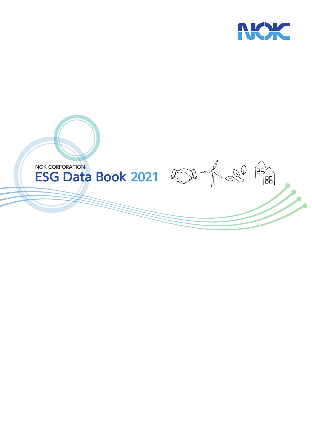

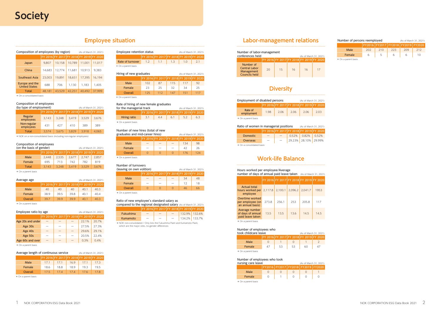| Number of labor-management |  |  |  |
|----------------------------|--|--|--|
|                            |  |  |  |

| conferences held                                                        |                                         |    |    | (As of March 31, 2021) |    |
|-------------------------------------------------------------------------|-----------------------------------------|----|----|------------------------|----|
|                                                                         | FY 2016 FY 2017 FY 2018 FY 2019 FY 2020 |    |    |                        |    |
| Number of<br><b>Central Labor</b><br>Management<br><b>Councils held</b> | 20                                      | 15 | 16 | 16                     | 17 |

| Composition of employees (by region)<br>(As of March 31, 2021) |        |                                         |        |        |        |  |  |
|----------------------------------------------------------------|--------|-----------------------------------------|--------|--------|--------|--|--|
|                                                                |        | FY 2016 FY 2017 FY 2018 FY 2019 FY 2020 |        |        |        |  |  |
| Japan                                                          | 9.807  | 10.158                                  | 10.789 | 11.001 | 11,017 |  |  |
| China                                                          | 14.683 | 12.774                                  | 11.681 | 10.913 | 9.383  |  |  |
| Southeast Asia                                                 | 23.003 | 19.891                                  | 18.651 | 17.395 | 16.194 |  |  |
| Europe and the<br><b>United States</b>                         | 688    | 706                                     | 1,130  | 1,183  | 1.405  |  |  |
| Total                                                          | 48.181 | 43.529                                  | 42.251 | 40.492 | 37.999 |  |  |

\* On a consolidated basis

### Composition of employees

| (by type of employment)<br>(As of March 31, 2021) |       |       |                                         |       |       |  |
|---------------------------------------------------|-------|-------|-----------------------------------------|-------|-------|--|
|                                                   |       |       | FY 2016 FY 2017 FY 2018 FY 2019 FY 2020 |       |       |  |
| Regular<br>employees                              | 3.143 | 3.248 | 3,419                                   | 3.529 | 3.676 |  |
| Non-regular<br>employees                          | 431   | 427   | 410                                     | 389   | 389   |  |
| <b>Total</b>                                      | 3.574 | 3.675 | 3.829                                   | 3.918 | 4.065 |  |

\* NOK non-consolidated / Only lists the Fukushima Plant and Kumamoto Plant, which are the major sites, no gender differences

\* NOK on a non-consolidated basis (including non-regular employees)

### Composition of employees

| (on the basis of gender) | (As of March 31, 2021)                  |       |       |       |       |
|--------------------------|-----------------------------------------|-------|-------|-------|-------|
|                          | FY 2016 FY 2017 FY 2018 FY 2019 FY 2020 |       |       |       |       |
| Male                     | 2.448                                   | 2.535 | 2.677 | 2.747 | 2.857 |
| Female                   | 695                                     | 713   | 742   | 782   | 819   |
| Total                    | 3.143                                   | 3.248 | 3.419 | 3.529 | 3.676 |

\* On a parent basis

| Average length of continuous service<br>(As of March 31, 2021) |                                         |      |                 |      |      |  |  |
|----------------------------------------------------------------|-----------------------------------------|------|-----------------|------|------|--|--|
|                                                                | FY 2016 FY 2017 FY 2018 FY 2019 FY 2020 |      |                 |      |      |  |  |
| Male                                                           | 17.1                                    | 17.1 | 16.9            | 17.1 | 17.3 |  |  |
| Female                                                         | 18.6                                    | 18.8 | 18.9            | 19.3 | 19.5 |  |  |
| Overall                                                        | 17.5                                    | 174  | 17 <sub>4</sub> | 176  | 17 R |  |  |

\* On a parent basis

#### Ratio of new employee's standard salary as

| <b>compared to the regional designated salary</b> (As of March 31, 2021) |  |  |  |                       |  |  |  |
|--------------------------------------------------------------------------|--|--|--|-----------------------|--|--|--|
| FY 2016 FY 2017 FY 2018 FY 2019 FY 2020                                  |  |  |  |                       |  |  |  |
| <b>Fukushima</b>                                                         |  |  |  | $-$ 132.9% 132.6%     |  |  |  |
| Kumamoto                                                                 |  |  |  | $-$   134.2%   133.7% |  |  |  |
|                                                                          |  |  |  |                       |  |  |  |

| Age 60s and over    |  |  |  |
|---------------------|--|--|--|
| * On a parent basis |  |  |  |

| Employee retention status<br>(As of March 31, 2021) |                                         |     |                 |     |  |  |
|-----------------------------------------------------|-----------------------------------------|-----|-----------------|-----|--|--|
|                                                     | FY 2016 FY 2017 FY 2018 FY 2019 FY 2020 |     |                 |     |  |  |
| Rate of turnover                                    | 1.2                                     | 1.1 | $1 \quad 1.3$ . | 1.0 |  |  |
| * On a parent basis                                 |                                         |     |                 |     |  |  |

### Rate of hiring of new female graduates

| for the managerial track<br>(As of March 31, 2021) |     |                                         |     |     |    |  |  |
|----------------------------------------------------|-----|-----------------------------------------|-----|-----|----|--|--|
|                                                    |     | FY 2016 FY 2017 FY 2018 FY 2019 FY 2020 |     |     |    |  |  |
| Hiring ratio                                       | 3.1 | 4.4                                     | 6.1 | 5.2 | 63 |  |  |
| * On a parent basis                                |     |                                         |     |     |    |  |  |

#### Number of new hires (total of new

| graduates and mid-career hires)<br>(As of March 31, 2021) |                                         |           |           |     |     |  |  |
|-----------------------------------------------------------|-----------------------------------------|-----------|-----------|-----|-----|--|--|
|                                                           | FY 2016 FY 2017 FY 2018 FY 2019 FY 2020 |           |           |     |     |  |  |
| Male                                                      |                                         |           |           | 134 | 98  |  |  |
| Female                                                    |                                         |           |           | 42  | 26  |  |  |
| Overall                                                   |                                         | $\bigcap$ | $\bigcap$ | 176 | 124 |  |  |
| * On a parent basis                                       |                                         |           |           |     |     |  |  |

### Number of turnovers

| (leaving on own volition)<br>(As of March 31, 2021) |                                         |          |                  |    |    |  |  |
|-----------------------------------------------------|-----------------------------------------|----------|------------------|----|----|--|--|
|                                                     | FY 2016 FY 2017 FY 2018 FY 2019 FY 2020 |          |                  |    |    |  |  |
| Male                                                |                                         |          |                  | 34 | 48 |  |  |
| Female                                              |                                         |          |                  | 12 | 18 |  |  |
| Overall                                             |                                         | $\Omega$ | $\left( \right)$ | 46 | 66 |  |  |
| * On a parent basis                                 |                                         |          |                  |    |    |  |  |

a pa

| Average age |                                         |      | (As of March 31, 2021) |      |      |
|-------------|-----------------------------------------|------|------------------------|------|------|
|             | FY 2016 FY 2017 FY 2018 FY 2019 FY 2020 |      |                        |      |      |
| Male        | 40                                      | 40   | 40                     | 40.1 | 40.3 |
| Female      | 38.9                                    | 39.5 | 39.8                   | 40.1 | 40.4 |
| Overall     | 39.7                                    | 39.9 | 39.9                   | 40.1 | 40.3 |

\* On a parent basis

### **Employee ratio by age** (As of March 31, 2021) FY 2016 FY 2017 FY 2018 FY 2019 FY 2020 Age 20s and under  $22.1\%$  20.7%  $\text{Age } 30s$  –  $-$  27.5% 27.3%  $\text{Age } 40s$  –  $-$  29.6% 29.1%  $\text{Age 50s}$   $20.5\%$  22.4%

### **Employee situation Labor-management relations**

| Ratio of women in managerial positions<br>(As of March 31, 2021) |                                         |  |  |                          |  |
|------------------------------------------------------------------|-----------------------------------------|--|--|--------------------------|--|
|                                                                  | FY 2016 FY 2017 FY 2018 FY 2019 FY 2020 |  |  |                          |  |
| <b>Domestic</b>                                                  |                                         |  |  | $0.52\%$ 0.82% 0.52%     |  |
| <b>Overseas</b>                                                  |                                         |  |  | 29.23%   28.10%   29.99% |  |
| * On a consolidated basis                                        |                                         |  |  |                          |  |

| Employment of disabled persons<br>(As of March 31, 2021) |                                         |      |      |      |      |
|----------------------------------------------------------|-----------------------------------------|------|------|------|------|
|                                                          | FY 2016 FY 2017 FY 2018 FY 2019 FY 2020 |      |      |      |      |
| Rate of<br>employment                                    | 1.98                                    | 2.06 | 2.06 | 2.06 | 2.03 |
| * On a parent basis                                      |                                         |      |      |      |      |

### **Diversity**

#### Number of employees who took

| nursing care leave | (As of March 31, 2021) |  |                                            |  |
|--------------------|------------------------|--|--------------------------------------------|--|
|                    |                        |  | FY2016   FY2017   FY2018   FY2019   FY2020 |  |
| Male               |                        |  |                                            |  |
| Female             |                        |  |                                            |  |
|                    |                        |  |                                            |  |

\* On a parent basis

| Number of persons reemployed<br>(As of March 31, 2021) |                                    |               |      |     |     |
|--------------------------------------------------------|------------------------------------|---------------|------|-----|-----|
|                                                        | FY2016 FY2017 FY2018 FY2019 FY2020 |               |      |     |     |
| Male                                                   | 202                                | 210           | -223 | 209 | 212 |
| Female                                                 | h                                  | $\mathcal{L}$ |      |     |     |

\* On a parent basis

#### Number of employees who

| took childcare leave | (As of March 31, 2021)                  |    |     |    |  |
|----------------------|-----------------------------------------|----|-----|----|--|
|                      | FY 2016 FY 2017 FY 2018 FY 2019 FY 2020 |    |     |    |  |
| Male                 |                                         |    |     |    |  |
| Female               | 47                                      | 53 | -53 | 60 |  |
| * On a parent basis  |                                         |    |     |    |  |

#### Hours worked per employee/Average

| number of days of annual paid leave taken (As of March 31, 2021) |  |  |  |  |
|------------------------------------------------------------------|--|--|--|--|
|                                                                  |  |  |  |  |

|                                                         | IFY 2016IFY 2017IFY 2018IFY 2019IFY 2020 |         |                 |       |      |
|---------------------------------------------------------|------------------------------------------|---------|-----------------|-------|------|
| <b>Actual total</b><br>hours worked per<br>employee     | 2,117.8                                  | 2.100.1 | 2,096.2 2,041.7 |       | 1953 |
| Overtime worked<br>per employee (on<br>an annual basis) | 273.8                                    | 256.1   | 253             | 205.8 | 117  |
| Average number<br>of days of annual<br>paid leave taken | 13.5                                     | 13.5    | 13.6            | 14.5  | 14.5 |
|                                                         |                                          |         |                 |       |      |

\* On a parent basis

### **Work-life Balance**

| Hiring of new graduates<br>(As of March 31, 2021) |                                         |     |     |     |     |
|---------------------------------------------------|-----------------------------------------|-----|-----|-----|-----|
|                                                   | FY 2016 FY 2017 FY 2018 FY 2019 FY 2020 |     |     |     |     |
| Male                                              | 102                                     | 87  | 115 | 117 | 92  |
| Female                                            | 23                                      | 25  | 32  | 34  | 25  |
| Overall                                           | 125                                     | 112 | 147 | 151 | 117 |
|                                                   |                                         |     |     |     |     |

#### \* On a parent basis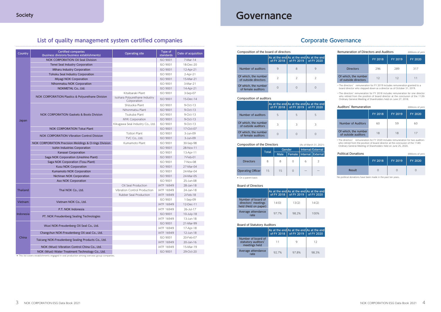### **List of quality management system certified companies**

| Country   | <b>Certified companies</b><br>(business divisions/business establishments) | <b>Operating site</b>                        | Type of<br>standards | Date of acquisition |
|-----------|----------------------------------------------------------------------------|----------------------------------------------|----------------------|---------------------|
|           | <b>NOK CORPORATION Oil Seal Division</b>                                   |                                              | <b>ISO 9001</b>      | 7-Mar-14            |
|           | Tenei Seal Industry Corporation                                            |                                              | <b>ISO 9001</b>      | 18-Dec-20           |
|           | Miharu Industry Corporation                                                |                                              | <b>ISO 9001</b>      | 12-Apr-21           |
|           | Tohoku Seal Industry Corporation                                           |                                              | <b>ISO 9001</b>      | 2-Apr-21            |
|           | Miyagi NOK Corporation                                                     |                                              | <b>ISO 9001</b>      | 15-Mar-21           |
|           | Nihonmatsu NOK Corporation                                                 |                                              | <b>ISO 9001</b>      | 3-Mar-21            |
|           | NOKMETAL Co., Ltd.                                                         |                                              | <b>ISO 9001</b>      | 14-Apr-21           |
|           |                                                                            | Kitaibaraki Plant                            | <b>ISO 9001</b>      | 3-Sep-07            |
|           | NOK CORPORATION Plastics & Polyurethane Division                           | Isohara Polyurethane Industry<br>Corporation | <b>ISO 9001</b>      | 15-Dec-14           |
|           |                                                                            | Shizuoka Plant                               | <b>ISO 9001</b>      | 9-Oct-13            |
|           |                                                                            | Nihonmatsu Plant                             | <b>ISO 9001</b>      | 9-Oct-13            |
|           | <b>NOK CORPORATION Gaskets &amp; Boots Division</b>                        | Tsukuba Plant                                | <b>ISO 9001</b>      | 9-Oct-13            |
| Japan     |                                                                            | MYK Corporation                              | <b>ISO 9001</b>      | 9-Oct-13            |
|           |                                                                            | Kikugawa Seal Industry Co., Ltd.             | <b>ISO 9001</b>      | 9-Oct-13            |
|           | <b>NOK CORPORATION Tokai Plant</b>                                         |                                              | <b>ISO 9001</b>      | 17-Oct-07           |
|           | <b>NOK CORPORATION Vibration Control Division</b>                          | Tottori Plant                                | <b>ISO 9001</b>      | 3-Jun-09            |
|           |                                                                            | TVC Co., Ltd.                                | <b>ISO 9001</b>      | 3-Jun-09            |
|           | NOK CORPORATION Precision Moldings & O-rings Division                      | Kumamoto Plant                               | <b>ISO 9001</b>      | 30-Sep-98           |
|           | Isshin Industries Corporation                                              |                                              | <b>ISO 9001</b>      | 28-Nov-11           |
|           | Kanasei Corporation                                                        |                                              | <b>ISO 9001</b>      | 13-Apr-11           |
|           | Saga NOK Corporation (Ureshino Plant)                                      |                                              | <b>ISO 9001</b>      | 7-Feb-01            |
|           | Saga NOK Corporation (Tosu Plant)                                          |                                              | <b>ISO 9001</b>      | 7-Nov-08            |
|           | <b>Kusu NOK Corporation</b>                                                |                                              | <b>ISO 9001</b>      | 27-Mar-04           |
|           | Kumamoto NOK Corporation                                                   |                                              | <b>ISO 9001</b>      | 24-Mar-04           |
|           | Nichinan NOK Corporation                                                   |                                              | <b>ISO 9001</b>      | 24-Mar-05           |
|           | Aso NOK Corporation                                                        |                                              | <b>ISO 9001</b>      | 25-Jun-08           |
|           |                                                                            | Oil Seal Production                          | <b>IATF 16949</b>    | 28-Jan-18           |
| Thailand  | Thai NOK Co., Ltd.                                                         | Vibration Control Production                 | IATF 16949           | 24-Jan-18           |
|           |                                                                            | Rubber Seal Production                       | <b>IATF 16949</b>    | $2$ -Feb-18         |
| Vietnam   | Vietnam NOK Co., Ltd.                                                      |                                              | <b>ISO 9001</b>      | 1-Sep-09            |
|           |                                                                            |                                              | <b>IATF 16949</b>    | 12-Dec-11           |
|           | P.T. NOK Indonesia                                                         |                                              | <b>IATF 16949</b>    | 26-Jul-17           |
| Indonesia | PT. NOK Freudenberg Sealing Technologies                                   |                                              | ISO 9001             | 10-July-18          |
|           |                                                                            |                                              | IATF 16949           | 13-Jun-18           |
|           | Wuxi NOK-Freudenberg Oil Seal Co., Ltd.                                    |                                              | <b>ISO 9001</b>      | 21-Mar-99           |
|           |                                                                            |                                              | IATF 16949           | 17-Apr-18           |
|           | Changchun NOK-Freudenberg Oil seal Co., Ltd.                               |                                              | IATF 16949           | 12-Jun-18           |
| China     | Taicang NOK-Freudenberg Sealing Products Co., Ltd.                         |                                              | ISO 9001             | 20-Feb-07           |
|           |                                                                            |                                              | IATF 16949           | 20-Jan-16           |
|           | NOK (Wuxi) Vibration Control China Co., Ltd.                               |                                              | <b>IATF 16949</b>    | 15-Mar-19           |
|           | NOK (Wuxi) Water Treatment Technology Co., Ltd.                            |                                              | ISO 9001             | 29-Oct-20           |

\* This list covers establishments engaged in seal production among overseas group companies.

### **Corporate Governance**

### Composition of the board of directors

|                                              | As at the end As at the end As at the end | of FY 2018   of FY 2019 | of FY 2020 |
|----------------------------------------------|-------------------------------------------|-------------------------|------------|
| Number of auditors                           |                                           |                         |            |
| Of which, the number<br>of outside directors |                                           |                         |            |
| Of which, the number<br>of female auditors   |                                           |                         |            |

#### Composition of auditors

|                                             | As at the end As at the end As at the end<br>of FY 2018 | of FY 2019 | of FY 2020 |
|---------------------------------------------|---------------------------------------------------------|------------|------------|
| Number of auditors                          |                                                         |            |            |
| Of which, the number<br>of outside auditors |                                                         |            |            |
| Of which, the number<br>of female auditors  |                                                         |            |            |

### Board of Statutory Auditors

|                                                            | As at the end As at the end As at the end<br>of FY 2018 | of FY 2019 1 | of FY 2020 |
|------------------------------------------------------------|---------------------------------------------------------|--------------|------------|
| Number of board of<br>statutory auditors'<br>meetings held |                                                         |              | 12         |
| Average attendance<br>rate                                 | 92.7%                                                   | 97.8%        | 98.3%      |

#### Board of Directors

|                                                                   | As at the end As at the end As at the end | of FY 2018   of FY 2019   of FY 2020 |       |
|-------------------------------------------------------------------|-------------------------------------------|--------------------------------------|-------|
| Number of board of<br>directors' meetings<br>held (Held on paper) | 14(0)                                     | 13(2)                                | 14(2) |
| Average attendance<br>rate                                        | 97.7%                                     | 98.2%                                | 100%  |

| Remuneration of Directors and Auditors<br>(Millions of yen) |         |                |     |  |  |
|-------------------------------------------------------------|---------|----------------|-----|--|--|
|                                                             | FY 2018 | <b>FY 2020</b> |     |  |  |
| <b>Directors</b>                                            | 296     | 289            | 317 |  |  |
| Of which, the number<br>of outside directors                | 12      | 12             |     |  |  |

• The directors' remuneration for FY 2019 includes remuneration granted to a board director who stepped down as a director as of October 31, 2019.

• The directors' remuneration for FY 2018 includes remuneration for one director who retired from the position of board director at the conclusion of the 112th Ordinary General Meeting of Shareholders held on June 27, 2018.

#### Auditors' Remuneration (Millions of yen)

| Auuituis Keillullelativil<br><i>(IVIILIIOHS OF YELL)</i> |                |         |         |  |  |
|----------------------------------------------------------|----------------|---------|---------|--|--|
|                                                          | <b>FY 2018</b> | FY 2019 | FY 2020 |  |  |
| <b>Number of Auditors</b>                                | 60             | 59      | 60      |  |  |
| Of which, the number<br>of outside auditors              | 18             | 18      |         |  |  |

• The directors' remuneration for FY 2020 includes remuneration for two auditors

#### **Political Donations** (Millions of yen)

| Composition of the Directors |              |        |  | who retired from the position of board director at the conclusion of the 114th<br>(As of March 31, 2021)<br>Ordinary General Meeting of Shareholders held on June 25, 2020. |                            |                            |         |                |
|------------------------------|--------------|--------|--|-----------------------------------------------------------------------------------------------------------------------------------------------------------------------------|----------------------------|----------------------------|---------|----------------|
|                              |              | Gender |  | Internal/External                                                                                                                                                           |                            |                            |         |                |
|                              | <b>Total</b> | Male   |  |                                                                                                                                                                             | Female   Internal External | <b>Political Donations</b> |         | (Millions of y |
| <b>Directors</b>             |              |        |  | 6                                                                                                                                                                           |                            | FY 2018                    | FY 2019 | <b>FY 2020</b> |
| <b>Operating Officer</b>     | 15           | 15     |  |                                                                                                                                                                             |                            | Result                     |         |                |

\* On a parent basis

|               |                |         | .              |
|---------------|----------------|---------|----------------|
|               | <b>FY 2018</b> | FY 2019 | <b>FY 2020</b> |
| <b>Result</b> |                |         |                |

No political donations have been made in the past ten years.

## **Governance**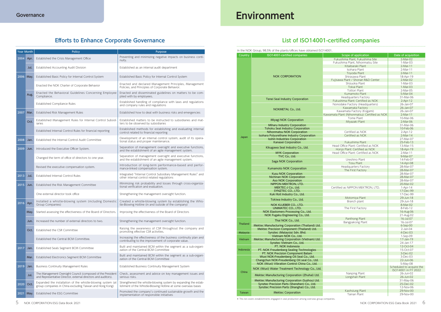### **Efforts to Enhance Corporate Governance**

|           | In the NOK Group, 98.5% of the plants/offices have obtained ISO14001.                        |                                               |                          |
|-----------|----------------------------------------------------------------------------------------------|-----------------------------------------------|--------------------------|
| Country   | ISO14001-certified companies                                                                 | Scope of application                          | Date of acquisition      |
|           |                                                                                              | Fukushima Plant, Fukushima Site               | $2-Mar-02$               |
|           |                                                                                              | Fukushima Plant, Nihonmatsu Site              | 1-Mar-03                 |
|           |                                                                                              | Kitaibaraki Plant                             | $2-Mar-11$               |
|           |                                                                                              | Isohara Plant                                 | 2-Mar-11                 |
|           |                                                                                              | Toyoda Plant                                  | $2-Mar-11$               |
|           | <b>NOK CORPORATION</b>                                                                       | Shirasawa Plant                               | 18-Apr-19                |
|           |                                                                                              | Fujisawa Plant / Shonan R&D Center            | $2-Mar-02$               |
|           |                                                                                              | Shizuoka Plant                                | 1-Mar-03                 |
|           |                                                                                              | Tokai Plant<br><b>Tottori Plant</b>           | 1-Mar-03                 |
|           |                                                                                              | Kumamoto Plant                                | 2-Mar-05<br>5-Mar-04     |
|           |                                                                                              | Headquarters Factory                          | 31-Mar-06                |
|           | Tenei Seal Industry Corporation                                                              | Fukushima Plant: Certified as NOK             | $2-Apr-12$               |
|           |                                                                                              | Nonodake Factory (Headquarters)               | 26-Jan-07                |
|           |                                                                                              | Kawamata Factory                              | 26-Jan-07                |
|           | NOKMETAL Co., Ltd.                                                                           | Kawamata Factory (Kogami)                     | 26-Jan-07                |
|           |                                                                                              | Kawamata Plant (Nihonmatsu): Certified as NOK | $2-Mar-11$               |
|           | Miyagi NOK Corporation                                                                       | Tome Plant                                    | 10-Mar-06                |
|           |                                                                                              | Miyazaki Plant                                | $2-Mar-06$               |
|           | <b>Miharu Industry Corporation</b>                                                           |                                               | 31-Mar-06                |
|           | <b>Tohoku Seal Industry Corporation</b>                                                      |                                               | 10-Feb-06                |
|           | Nihonmatsu NOK Corporation                                                                   | Certified as NOK                              | $2-Apr-12$               |
| Japan     | Isohara Polyurethane Industry Corporation<br><b>Isshin Industries Corporation</b>            | Certified as NOK                              | $2-Mar-14$<br>27-Mar-07  |
|           | Kanasei Corporation                                                                          | Fukushima Plant                               | 25-Feb-13                |
|           |                                                                                              | Head Office Plant: Certified as NOK           | 13-Mar-15                |
|           | Kikugawa Seal Industry Co., Ltd.                                                             | Honjo Plant: Certified as NOK                 | 18-Apr-19                |
|           | <b>MYK Corporation</b>                                                                       | Head Office Plant: Certified as NOK           | 2-Mar-11                 |
|           | TVC Co., Ltd.                                                                                |                                               | 9-Mar-07                 |
|           | Saga NOK Corporation                                                                         | Ureshino Plant                                | 14-Feb-07                |
|           |                                                                                              | <b>Tosu Plant</b>                             | 14-Apr-08                |
|           | Kumamoto NOK Corporation                                                                     | Headquarters Factory                          | 28-Mar-07                |
|           |                                                                                              | The First Factory                             | 28-Mar-07                |
|           | <b>Kusu NOK Corporation</b>                                                                  |                                               | 28-Mar-07                |
|           | Nichinan NOK Corporation                                                                     |                                               | 28-Mar-07                |
|           | <b>Aso NOK Corporation</b><br>NIPPON MEKTRON, LTD.                                           |                                               | 28-Mar-07<br>20-Mar-02   |
|           | MEKTEC-J Co., Ltd.                                                                           | Certified as NIPPON MEKTRON, LTD.             | 1-Apr-14                 |
|           | SYNZTEC CO., LTD.                                                                            |                                               | 17-Dec-99                |
|           | Kuki Roll Industry Co., Ltd.                                                                 |                                               | 17-Dec-99                |
|           |                                                                                              | Motomiya Plant                                | 29-Jun-18                |
|           | Tokiwa Industry Co., Ltd.                                                                    | Branch plant                                  | 29-Jun-18                |
|           | NOK KLUEBER CO., LTD.                                                                        |                                               | 8-Mar-02                 |
|           | UNIMATEC CO., LTD.                                                                           | The First Factory                             | 8-Feb-12                 |
|           | NOK Elastomers Processing Co., Ltd.                                                          |                                               | 16-Aug-06                |
|           | NOK Fugaku Engineering Co., Ltd.                                                             |                                               | 21-Aug-02                |
|           | Thai NOK Co., Ltd.                                                                           | Panthong Plant<br>Bangpakong Plant            | 16-Jul-07<br>16-Jul-07   |
| Thailand  | Mektec Manufacturing Corporation (Thailand) Ltd.                                             |                                               | 6-Sep-00                 |
|           | Mektec Precision Component (Thailand) Ltd.                                                   |                                               | $2$ -Jan-04              |
| Malaysia  | Synztec (Malaysia) Sdn. Bhd.                                                                 |                                               | $4$ -Dec-03              |
|           | Vietnam NOK Co., Ltd.                                                                        |                                               | 1-Sep-09                 |
| Vietnam   | Mektec Manufacturing Corporation (Vietnam) Ltd.                                              |                                               | 17-Jan-19                |
|           | Synztec Vietnam Co., Ltd.                                                                    |                                               | 24-Jan-17                |
|           | PT. NOK Indonesia                                                                            |                                               | 12-Oct-04                |
| Indonesia | PT. NOK Freudenberg Sealing Technologies                                                     |                                               | 15-Oct-07                |
|           | PT. NOK Precision Component Batam                                                            |                                               | 3-Dec-02                 |
|           | Wuxi NOK-Freudenberg Oil Seal Co., Ltd.                                                      |                                               | $3$ -Dec-03              |
|           | Changchun NOK-Freudenberg Oil seal Co., Ltd.<br>NOK (Wuxi) Vibration Control China Co., Ltd. |                                               | 22-Jun-06<br>5-May-08    |
|           |                                                                                              |                                               | Scheduled to acquire the |
|           | NOK (Wuxi) Water Treatment Technology Co., Ltd.                                              |                                               | ISO14001 in FY 2022      |
| China     |                                                                                              | Nanping Plant                                 | 26-Jun-02                |
|           | Mektec Manufacturing Corporation (Zhuhai) Ltd.                                               | Longshan Plant                                | 26-Jun-02                |
|           | Mektec Manufacturing Corporation (Suzhou) Ltd.                                               |                                               | 31-May-06                |
|           | Synztec Precision Parts (Shenzhen) Co., Ltd.                                                 |                                               | 25-Dec-02                |
|           | Synztec Precision Parts (Shanghai) Co., Ltd.                                                 |                                               | 12-Nov-06                |
| Taiwan    | <b>Mektec Corporation</b>                                                                    | Kaohsiung Plant<br>Tainan Plant               | 29-Nov-00                |
|           |                                                                                              |                                               | 29-Nov-00                |

5 NOK CORPORATION ESG Data Book 2021 6

\* This list covers establishments engaged in seal production among overseas group companies.

## **List of ISO14001-certified companies**

# **Governance Environment**

| <b>Year Month</b> |                                                          | Policy                                                                                                                        | Purpose                                                                                                                           |  |  |
|-------------------|----------------------------------------------------------|-------------------------------------------------------------------------------------------------------------------------------|-----------------------------------------------------------------------------------------------------------------------------------|--|--|
| 2004              | Apr.                                                     | Established the Crisis Management Office                                                                                      | Preventing and minimizing negative impacts on business conti-<br>nuity.                                                           |  |  |
|                   | Jul.                                                     | Established Accounting Audit Division                                                                                         | Established as an internal audit department                                                                                       |  |  |
| 2006   May.       |                                                          | Established Basic Policy for Internal Control System                                                                          | Established Basic Policy for Internal Control System                                                                              |  |  |
|                   |                                                          | Enacted the NOK Charter of Corporate Behavior                                                                                 | Enacted and declared Management Principles, Management<br>Policies, and Principles of Corporate Behavior.                         |  |  |
|                   | Aug.                                                     | Enacted the Behavioral Guidelines Concerning Employee<br>Compliance.                                                          | Enacted and disseminated guidelines on matters to be com-<br>plied with by employees.                                             |  |  |
|                   |                                                          | Established Compliance Rules                                                                                                  | Established handling of compliance with laws and regulations<br>and company rules and regulations                                 |  |  |
| 2007   Mar.       |                                                          | Established Risk Management Rules                                                                                             | Established how to deal with business risks and emergencies                                                                       |  |  |
|                   | Oct.                                                     | Established Management Rules for Internal Control Subsid-<br>jaries                                                           | Established matters to be instructed to subsidiaries and mat-<br>ters to be observed by subsidiaries                              |  |  |
|                   |                                                          | Established Internal Control Rules for financial reporting                                                                    | Established methods for establishing and evaluating internal<br>control related to financial reporting                            |  |  |
| 2008              | Established the Internal Control Audit Committee<br>Jan. |                                                                                                                               | Development of an internal control system, audit of its opera-<br>tional status and proper maintenance.                           |  |  |
| 2009              | Jun.                                                     | Introduced the Executive Officer System.                                                                                      | Separation of management oversight and executive functions,<br>and the establishment of an agile management system.               |  |  |
|                   |                                                          | Changed the term of office of directors to one year.                                                                          | Separation of management oversight and executive functions,<br>and the establishment of an agile management system.               |  |  |
|                   |                                                          | Revised the executive compensation system.                                                                                    | Introduction of long-term performance-based and perfor-<br>mance-linked compensation system.                                      |  |  |
| 2013              | Jul.                                                     | Established Internal Control Rules                                                                                            | Integrated "Internal Control Subsidiary Management Rules" and<br>other internal control related regulations                       |  |  |
| 2015              | Jun.                                                     | Established the Risk Management Committee                                                                                     | Minimizing risk probability and losses through cross-organiza-<br>tional verification and evaluation.                             |  |  |
|                   |                                                          | One external director took office                                                                                             | Strengthening the management oversight function.                                                                                  |  |  |
| 2016              | Apr.                                                     | Installed a whistle-blowing system (including Domestic<br>Group Companies)                                                    | Created a whistle-blowing system by establishing the Whis-<br>tle-Blowing Hotline (in and outside of the company)                 |  |  |
|                   | May.                                                     | Started assessing the effectiveness of the Board of Directors.                                                                | Improving the effectiveness of the Board of Directors                                                                             |  |  |
|                   | Jun.                                                     | Increased the number of external directors to two.                                                                            | Strengthening the management oversight function.                                                                                  |  |  |
|                   | Oct.                                                     | Established the CSR Committee                                                                                                 | Raising the awareness of CSR throughout the company and<br>promoting effective CSR activities.                                    |  |  |
|                   |                                                          | Established the Central BCM Committee.                                                                                        | Increasing the effectiveness of the business continuity plan and<br>contributing to the improvement of corporate value.           |  |  |
| 2017              | Jan.                                                     | Established Seals Segment BCM Committee                                                                                       | Built and maintained BCM within the segment as a sub-organi-<br>zation of the Central BCM Committee                               |  |  |
|                   | Mar.                                                     | Established Electronics Segment BCM Committee                                                                                 | Built and maintained BCM within the segment as a sub-organi-<br>zation of the Central BCM Committee                               |  |  |
| 2019              | Jan.                                                     | <b>Business Continuity Management Rules</b>                                                                                   | Established Business Continuity Management System                                                                                 |  |  |
|                   | Jul.                                                     | The Management Oversight Council (composed of the President<br>and Representative Director, external directors and auditors). | Check, assessment and advice on key management issues and<br>serious risks.                                                       |  |  |
| 2020              | Oct.                                                     | Expanded the installation of the whistle-blowing system (at<br>group companies in China excluding Taiwan and Hong Kong)       | Strengthened the whistle-blowing system by expanding the estab-<br>lishment of the Whistle-Blowing Hotline at some overseas bases |  |  |
| 2021              | May.                                                     | Established the ESG Committee                                                                                                 | Promoted the company's continued sustainable growth and the<br>implementation of responsible initiatives                          |  |  |
|                   |                                                          |                                                                                                                               |                                                                                                                                   |  |  |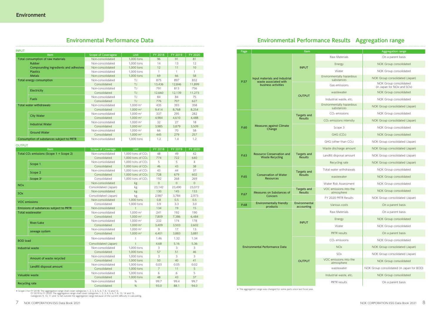### **Environmental Performance Data**

| <b>INPUT</b>                                                                                  |                                           |                    |                     |         |         |         |
|-----------------------------------------------------------------------------------------------|-------------------------------------------|--------------------|---------------------|---------|---------|---------|
| Item<br>Total consumption of raw materials<br>Rubber<br>Compounding ingredients and adhesives |                                           | Scope of Coveragew | <b>Unit</b>         | FY 2018 | FY 2019 | FY 2020 |
|                                                                                               |                                           | Non-consolidated   | 1,000 tons          | 96      | 91      | 81      |
|                                                                                               |                                           | Non-consolidated   | 1,000 tons          | 14      | 13      | 12      |
|                                                                                               |                                           | Non-consolidated   | 1,000 tons          | 12      | 11      | 10      |
|                                                                                               | <b>Plastics</b>                           | Non-consolidated   | 1,000 tons          |         |         |         |
|                                                                                               | <b>Metals</b>                             | Non-consolidated   | 1,000 tons          | 69      | 66      | 58      |
|                                                                                               | Total energy consumption                  | Non-consolidated   | T.J                 | 875     | 897     | 832     |
|                                                                                               |                                           | Consolidated       | $T_{\cdot}$         | 13,436  | 12,846  | 11,899  |
|                                                                                               |                                           | Non-consolidated   | T.J                 | 791     | 813     | 756     |
|                                                                                               | <b>Electricity</b>                        | Consolidated       | TJ                  | 12,660  | 12,139  | 11,273  |
|                                                                                               | <b>Fuels</b>                              | Non-consolidated   | T.J                 | 84      | 84      | 75      |
|                                                                                               |                                           | Consolidated       | $T_{\cdot}$         | 776     | 707     | 627     |
|                                                                                               | Total water withdrawals                   | Non-consolidated   | $1,000 \text{ m}^3$ | 435     | 393     | 358     |
|                                                                                               |                                           | Consolidated       | $1,000 \text{ m}^3$ | 9,414   | 8,768   | 8,254   |
|                                                                                               | <b>City Water</b>                         | Non-consolidated   | $1,000 \text{ m}^3$ | 337     | 295     | 282     |
|                                                                                               |                                           | Consolidated       | $1,000 \text{ m}^3$ | 4,984   | 4,610   | 4,488   |
|                                                                                               | <b>Industrial Water</b>                   | Non-consolidated   | $1,000 \text{ m}^3$ | 32      | 27      | 18      |
|                                                                                               |                                           | Consolidated       | $1,000 \text{ m}^3$ | 3,985   | 3,879   | 3,509   |
|                                                                                               | <b>Ground Water</b>                       | Non-consolidated   | $1,000 \text{ m}^3$ | 66      | 70      | 58      |
|                                                                                               |                                           | Consolidated       | $1,000 \text{ m}^3$ | 445     | 279     | 257     |
|                                                                                               | Consumption of substances subject to PRTR | Non-consolidated   | 1,000 tons          | 1.2     | 1.4     | 1.2     |

OUTPUT

| Item                                 |                                         | <b>Aggregation range</b>                             |  |  |
|--------------------------------------|-----------------------------------------|------------------------------------------------------|--|--|
|                                      | Raw Materials                           | On a parent basis                                    |  |  |
| <b>INPUT</b>                         | Energy                                  | NOK Group consolidated                               |  |  |
|                                      | Water                                   | NOK Group consolidated                               |  |  |
|                                      | Environmentally hazardous<br>substances | NOK Group consolidated (Japan)                       |  |  |
|                                      | Gas emissions                           | NOK Group consolidated<br>(in Japan for NOx and SOx) |  |  |
| <b>OUTPUT</b>                        | wastewater                              | NOK Group consolidated                               |  |  |
|                                      | Industrial waste, etc.                  | NOK Group consolidated                               |  |  |
|                                      | Environmentally hazardous<br>substances | NOK Group consolidated (Japan)                       |  |  |
| Targets and                          | $CO2$ emissions                         | NOK Group consolidated                               |  |  |
| <b>Results</b>                       | CO <sub>2</sub> emissions intensity     | NOK Group consolidated (Japan)                       |  |  |
|                                      | Scope 3                                 | NOK Group consolidated                               |  |  |
|                                      | GHG (CO <sub>2</sub> )                  | NOK Group consolidated                               |  |  |
|                                      | GHG (other than CO2)                    | NOK Group consolidated (Japan)                       |  |  |
|                                      | Waste discharge amount                  | NOK Group consolidated (Japan)                       |  |  |
| <b>Targets and</b><br><b>Results</b> | Landfill disposal amount                | NOK Group consolidated (Japan)                       |  |  |
|                                      | Recycling rate                          | NOK Group consolidated (Japan)                       |  |  |
| Targets and                          | Total water withdrawals                 | NOK Group consolidated                               |  |  |
| <b>Results</b>                       | wastewater                              | NOK Group consolidated                               |  |  |
|                                      | Water Risk Assessment                   | NOK Group consolidated                               |  |  |
| Targets and<br><b>Results</b>        | VOC emissions into the<br>atmosphere    | NOK Group consolidated                               |  |  |
|                                      | FY 2020 PRTR Results                    | NOK Group consolidated (Japan)                       |  |  |
| nvironmental<br>accounting           | Various costs                           | On a parent basis                                    |  |  |
|                                      | Raw Materials                           | On a parent basis                                    |  |  |
| <b>INPUT</b>                         | Energy                                  | NOK Group consolidated                               |  |  |
|                                      | Water                                   | NOK Group consolidated                               |  |  |
|                                      | <b>PRTR</b> results                     | On a parent basis                                    |  |  |
|                                      | CO <sub>2</sub> emissions               | NOK Group consolidated                               |  |  |
|                                      | <b>NOx</b>                              | NOK Group consolidated (Japan)                       |  |  |
|                                      | SOx                                     | NOK Group consolidated (Japan)                       |  |  |
| OUTPUT                               | VOC emissions into the<br>atmosphere    | NOK Group consolidated                               |  |  |
|                                      | wastewater                              | NOK Group consolidated (in Japan for BOD)            |  |  |
|                                      | Industrial waste, etc.                  | NOK Group consolidated                               |  |  |
|                                      | <b>PRTR</b> results                     | On a parent basis                                    |  |  |

| Item                                      |                                         | <b>Scope of Coverage</b>                | Unit                |                | FY 2019  | FY 2020        |
|-------------------------------------------|-----------------------------------------|-----------------------------------------|---------------------|----------------|----------|----------------|
| Total $CO2$ emissions (Scope 1 + Scope 2) |                                         | Non-consolidated                        | 1,000 tons of $CO2$ | 48             | 49       | 42             |
|                                           |                                         | Consolidated                            | 1.000 tons of $CO2$ | 774            | 722      | 640            |
|                                           | Scope 1                                 | Non-consolidated<br>1.000 tons of $CO2$ |                     | 5              | 5        | $\overline{4}$ |
|                                           |                                         | Consolidated                            | 1.000 tons of $CO2$ | 46             | 43       | 38             |
|                                           |                                         | Non-consolidated                        | 1.000 tons of $CO2$ | 43             | 44       | 37             |
| Scope 2<br>Scope 3*                       |                                         | Consolidated                            | 1.000 tons of $CO2$ | 728            | 679      | 602            |
|                                           |                                         | Consolidated                            | 1.000 tons of $CO2$ | 192            | 268      | 269            |
| <b>NO<sub>x</sub></b>                     |                                         | Non-consolidated                        | kg                  | $\Omega$       | $\Omega$ | $\Omega$       |
|                                           |                                         | Consolidated (Japan)                    | kg                  | 23,142         | 23,490   | 23,072         |
| SO <sub>x</sub>                           |                                         | Non-consolidated                        | kg                  | 130            | 145      | 133            |
|                                           |                                         | Consolidated (Japan)                    | kg                  | 2,987          | 3.784    | 2.973          |
|                                           | <b>VOC</b> emissions                    | Non-consolidated                        | 1,000 tons          | 0.8            | 0.5      | 0.5            |
|                                           |                                         | Consolidated                            | 1,000 tons          | 3.9            | 3.3      | 3.0            |
|                                           | Emissions of substances subject to PRTR | Non-consolidated                        | $\ddagger$          | 134            | 19       | 15             |
| <b>Total wastewater</b>                   |                                         | Non-consolidated                        | $1.000 \text{ m}^3$ | 241            | 192      | 190            |
|                                           |                                         | Consolidated                            | $1,000 \text{ m}^3$ | 7,809          | 7,386    | 6,484          |
|                                           | <b>River/Lake</b>                       | Non-consolidated                        | $1.000 \text{ m}^3$ | 232            | 174      | 178            |
|                                           |                                         | Consolidated                            | $1,000 \text{ m}^3$ | 3,409          | 3,503    | 2,602          |
|                                           | sewage system                           | Non-consolidated                        | $1,000 \text{ m}^3$ | 9              | 17       | 13             |
|                                           |                                         | Consolidated                            | $1,000 \text{ m}^3$ | 4,401          | 3,883    | 3,881          |
| <b>BOD</b> load                           |                                         | Non-consolidated                        | ŧ                   | 1.46           | 1.32     | 1.34           |
|                                           |                                         | Consolidated (Japan)                    | $\ddagger$          | 4.68           | 5.16     | 5.36           |
|                                           | Industrial waste                        | Non-consolidated                        | 1,000 tons          | 3              | 3        | 3              |
|                                           |                                         | Consolidated                            | 1,000 tons          | 57             | 51       | 46             |
|                                           | Amount of waste recycled                | Non-consolidated                        | 1.000 tons          | 3              | 3        | 3              |
|                                           |                                         | Consolidated                            | 1,000 tons          | 50             | 40       | 41             |
|                                           | Landfill disposal amount                | Non-consolidated                        | 1.000 tons          | 0.03           | 0.05     | 0.02           |
|                                           |                                         | Consolidated                            | 1,000 tons          | $\overline{7}$ | 11       | 5              |
|                                           | <b>Valuable waste</b>                   | Non-consolidated                        | 1,000 tons          | 6              | 6        | 5              |
|                                           |                                         | Consolidated                            | 1,000 tons          | 48             | 43       | 37             |
|                                           |                                         | Non-consolidated                        | %                   | 99.7           | 99.4     | 99.7           |
| <b>Recycling rate</b>                     |                                         | Consolidated                            | %                   | 93.0           | 88.1     | 94.0           |

Scope 3 for FY 2018: The aggregation range shall cover categories 1, 2, 3, 4, 5, 6, 7, 8, 13 and 14. FY 2019 to<br>FY 2019 to FY 2020: The aggregation range shall cover categories 1, 2, 3, 4, 5, 6, 7, 8, 13, 14 and 15.<br>Catego

|  | Page                                  |                                                  | <b>Item</b>                          |                                         | <b>Aggregation range</b>                     |
|--|---------------------------------------|--------------------------------------------------|--------------------------------------|-----------------------------------------|----------------------------------------------|
|  |                                       |                                                  |                                      | Raw Materials                           | On a parent basis                            |
|  |                                       |                                                  |                                      | Energy                                  | NOK Group consolida                          |
|  |                                       |                                                  | <b>INPUT</b>                         | Water                                   | NOK Group consolida                          |
|  | P.57                                  | Input materials and industrial                   |                                      | Environmentally hazardous<br>substances | NOK Group consolidated                       |
|  |                                       | waste associated with<br>business activities     |                                      | Gas emissions                           | NOK Group consolida<br>(in Japan for NOx and |
|  |                                       |                                                  | wastewater                           | NOK Group consolida                     |                                              |
|  |                                       |                                                  | <b>OUTPUT</b>                        | Industrial waste, etc.                  | NOK Group consolida                          |
|  |                                       |                                                  |                                      | Environmentally hazardous<br>substances | NOK Group consolidated                       |
|  |                                       |                                                  | <b>Targets and</b>                   | $CO2$ emissions                         | NOK Group consolida                          |
|  | P.60                                  |                                                  | <b>Results</b>                       | CO <sub>2</sub> emissions intensity     | NOK Group consolidated                       |
|  |                                       | <b>Measures against Climate</b><br>Change        |                                      | Scope 3                                 | NOK Group consolida                          |
|  |                                       |                                                  |                                      | GHG (CO <sub>2</sub> )                  | NOK Group consolida                          |
|  |                                       |                                                  |                                      | GHG (other than CO2)                    | NOK Group consolidated                       |
|  |                                       |                                                  |                                      | Waste discharge amount                  | NOK Group consolidated                       |
|  | P.63<br><b>Waste Recycling</b>        | <b>Resource Conservation and</b>                 | <b>Targets and</b><br><b>Results</b> | Landfill disposal amount                | NOK Group consolidated                       |
|  |                                       |                                                  |                                      | Recycling rate                          | NOK Group consolidated                       |
|  |                                       |                                                  | <b>Targets and</b>                   | Total water withdrawals                 | NOK Group consolida                          |
|  | P.65                                  | <b>Conservation of Water</b><br><b>Resources</b> | <b>Results</b>                       | wastewater                              | NOK Group consolida                          |
|  |                                       |                                                  |                                      | Water Risk Assessment                   | NOK Group consolida                          |
|  |                                       | Measures on Substances of                        | <b>Targets and</b><br><b>Results</b> | VOC emissions into the<br>atmosphere    | NOK Group consolida                          |
|  | P.67                                  | Concern                                          |                                      | FY 2020 PRTR Results                    | NOK Group consolidated                       |
|  | P.68                                  | Environmentally friendly<br>products             | Environmental<br>accounting          | Various costs                           | On a parent basis                            |
|  |                                       |                                                  |                                      | Raw Materials                           | On a parent basis                            |
|  |                                       |                                                  |                                      | Energy                                  | NOK Group consolida                          |
|  |                                       |                                                  | <b>INPUT</b>                         | Water                                   | NOK Group consolida                          |
|  |                                       |                                                  |                                      | PRTR results                            | On a parent basis                            |
|  |                                       |                                                  |                                      | CO <sub>2</sub> emissions               | NOK Group consolida                          |
|  | <b>Environmental Performance Data</b> |                                                  |                                      | <b>NOx</b>                              | NOK Group consolidated                       |
|  |                                       |                                                  |                                      | SOx                                     | NOK Group consolidated                       |
|  |                                       |                                                  | <b>OUTPUT</b>                        | VOC emissions into the<br>atmosphere    | NOK Group consolida                          |
|  |                                       |                                                  |                                      | wastewater                              | NOK Group consolidated (in Ja                |
|  |                                       |                                                  |                                      | Industrial waste, etc.                  | NOK Group consolida                          |
|  |                                       |                                                  |                                      | PRTR results                            | On a parent basis                            |

\* The aggregation range was changed for some parts since last fiscal year.

### **Environmental Performance Results Aggregation range**